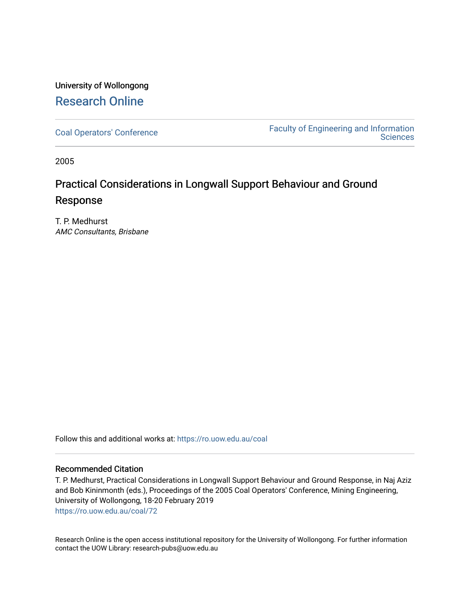## University of Wollongong [Research Online](https://ro.uow.edu.au/)

[Coal Operators' Conference](https://ro.uow.edu.au/coal) [Faculty of Engineering and Information](https://ro.uow.edu.au/eis)  **Sciences** 

2005

# Practical Considerations in Longwall Support Behaviour and Ground Response

T. P. Medhurst AMC Consultants, Brisbane

Follow this and additional works at: [https://ro.uow.edu.au/coal](https://ro.uow.edu.au/coal?utm_source=ro.uow.edu.au%2Fcoal%2F72&utm_medium=PDF&utm_campaign=PDFCoverPages) 

### Recommended Citation

T. P. Medhurst, Practical Considerations in Longwall Support Behaviour and Ground Response, in Naj Aziz and Bob Kininmonth (eds.), Proceedings of the 2005 Coal Operators' Conference, Mining Engineering, University of Wollongong, 18-20 February 2019 [https://ro.uow.edu.au/coal/72](https://ro.uow.edu.au/coal/72?utm_source=ro.uow.edu.au%2Fcoal%2F72&utm_medium=PDF&utm_campaign=PDFCoverPages) 

Research Online is the open access institutional repository for the University of Wollongong. For further information contact the UOW Library: research-pubs@uow.edu.au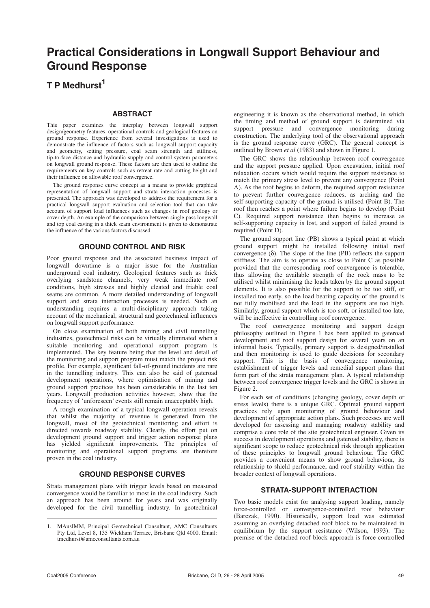## **Practical Considerations in Longwall Support Behaviour and Ground Response**

### **T P Medhurst<sup>1</sup>**

#### **ABSTRACT**

This paper examines the interplay between longwall support design/geometry features, operational controls and geological features on ground response. Experience from several investigations is used to demonstrate the influence of factors such as longwall support capacity and geometry, setting pressure, coal seam strength and stiffness, tip-to-face distance and hydraulic supply and control system parameters on longwall ground response. These factors are then used to outline the requirements on key controls such as retreat rate and cutting height and their influence on allowable roof convergence.

The ground response curve concept as a means to provide graphical representation of longwall support and strata interaction processes is presented. The approach was developed to address the requirement for a practical longwall support evaluation and selection tool that can take account of support load influences such as changes in roof geology or cover depth. An example of the comparison between single pass longwall and top coal caving in a thick seam environment is given to demonstrate the influence of the various factors discussed.

#### **GROUND CONTROL AND RISK**

Poor ground response and the associated business impact of longwall downtime is a major issue for the Australian underground coal industry. Geological features such as thick overlying sandstone channels, very weak immediate roof conditions, high stresses and highly cleated and friable coal seams are common. A more detailed understanding of longwall support and strata interaction processes is needed. Such an understanding requires a multi-disciplinary approach taking account of the mechanical, structural and geotechnical influences on longwall support performance.

On close examination of both mining and civil tunnelling industries, geotechnical risks can be virtually eliminated when a suitable monitoring and operational support program is implemented. The key feature being that the level and detail of the monitoring and support program must match the project risk profile. For example, significant fall-of-ground incidents are rare in the tunnelling industry. This can also be said of gateroad development operations, where optimisation of mining and ground support practices has been considerable in the last ten years. Longwall production activities however, show that the frequency of 'unforeseen' events still remain unacceptably high.

A rough examination of a typical longwall operation reveals that whilst the majority of revenue is generated from the longwall, most of the geotechnical monitoring and effort is directed towards roadway stability. Clearly, the effort put on development ground support and trigger action response plans has yielded significant improvements. The principles of monitoring and operational support programs are therefore proven in the coal industry.

#### **GROUND RESPONSE CURVES**

Strata management plans with trigger levels based on measured convergence would be familiar to most in the coal industry. Such an approach has been around for years and was originally developed for the civil tunnelling industry. In geotechnical

engineering it is known as the observational method, in which the timing and method of ground support is determined via support pressure and convergence monitoring during construction. The underlying tool of the observational approach is the ground response curve (GRC). The general concept is outlined by Brown *et al* (1983) and shown in Figure 1.

The GRC shows the relationship between roof convergence and the support pressure applied. Upon excavation, initial roof relaxation occurs which would require the support resistance to match the primary stress level to prevent any convergence (Point A). As the roof begins to deform, the required support resistance to prevent further convergence reduces, as arching and the self-supporting capacity of the ground is utilised (Point B). The roof then reaches a point where failure begins to develop (Point C). Required support resistance then begins to increase as self-supporting capacity is lost, and support of failed ground is required (Point D).

The ground support line (PB) shows a typical point at which ground support might be installed following initial roof convergence  $(\delta)$ . The slope of the line (PB) reflects the support stiffness. The aim is to operate as close to Point C as possible provided that the corresponding roof convergence is tolerable, thus allowing the available strength of the rock mass to be utilised whilst minimising the loads taken by the ground support elements. It is also possible for the support to be too stiff, or installed too early, so the load bearing capacity of the ground is not fully mobilised and the load in the supports are too high. Similarly, ground support which is too soft, or installed too late, will be ineffective in controlling roof convergence.

The roof convergence monitoring and support design philosophy outlined in Figure 1 has been applied to gateroad development and roof support design for several years on an informal basis. Typically, primary support is designed/installed and then monitoring is used to guide decisions for secondary support. This is the basis of convergence monitoring, establishment of trigger levels and remedial support plans that form part of the strata management plan. A typical relationship between roof convergence trigger levels and the GRC is shown in Figure 2.

For each set of conditions (changing geology, cover depth or stress levels) there is a unique GRC. Optimal ground support practices rely upon monitoring of ground behaviour and development of appropriate action plans. Such processes are well developed for assessing and managing roadway stability and comprise a core role of the site geotechnical engineer. Given its success in development operations and gateroad stability, there is significant scope to reduce geotechnical risk through application of these principles to longwall ground behaviour. The GRC provides a convenient means to show ground behaviour, its relationship to shield performance, and roof stability within the broader context of longwall operations.

#### **STRATA-SUPPORT INTERACTION**

Two basic models exist for analysing support loading, namely force-controlled or convergence-controlled roof behaviour (Barczak, 1990). Historically, support load was estimated assuming an overlying detached roof block to be maintained in equilibrium by the support resistance (Wilson, 1993). The premise of the detached roof block approach is force-controlled

<sup>1.</sup> MAusIMM, Principal Geotechnical Consultant, AMC Consultants Pty Ltd, Level 8, 135 Wickham Terrace, Brisbane Qld 4000. Email: tmedhurst@amcconsultants.com.au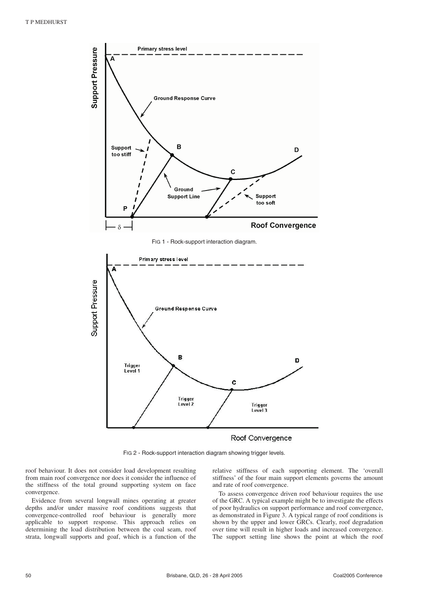

#### Roof Convergence

FIG 2 - Rock-support interaction diagram showing trigger levels.

roof behaviour. It does not consider load development resulting from main roof convergence nor does it consider the influence of the stiffness of the total ground supporting system on face convergence.

Evidence from several longwall mines operating at greater depths and/or under massive roof conditions suggests that convergence-controlled roof behaviour is generally more applicable to support response. This approach relies on determining the load distribution between the coal seam, roof strata, longwall supports and goaf, which is a function of the relative stiffness of each supporting element. The 'overall stiffness' of the four main support elements governs the amount and rate of roof convergence.

To assess convergence driven roof behaviour requires the use of the GRC. A typical example might be to investigate the effects of poor hydraulics on support performance and roof convergence, as demonstrated in Figure 3. A typical range of roof conditions is shown by the upper and lower GRCs. Clearly, roof degradation over time will result in higher loads and increased convergence. The support setting line shows the point at which the roof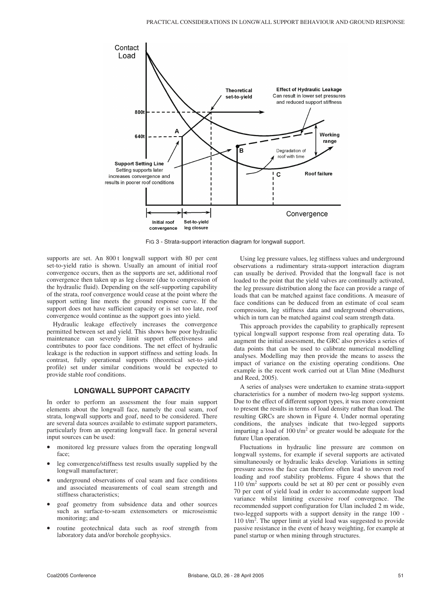

FIG 3 - Strata-support interaction diagram for longwall support.

supports are set. An 800 t longwall support with 80 per cent set-to-vield ratio is shown. Usually an amount of initial roof convergence occurs, then as the supports are set, additional roof convergence then taken up as leg closure (due to compression of the hydraulic fluid). Depending on the self-supporting capability of the strata, roof convergence would cease at the point where the support setting line meets the ground response curve. If the support does not have sufficient capacity or is set too late, roof convergence would continue as the support goes into yield.

Hydraulic leakage effectively increases the convergence permitted between set and yield. This shows how poor hydraulic maintenance can severely limit support effectiveness and contributes to poor face conditions. The net effect of hydraulic leakage is the reduction in support stiffness and setting loads. In contrast, fully operational supports (theoretical set-to-yield profile) set under similar conditions would be expected to provide stable roof conditions.

#### **LONGWALL SUPPORT CAPACITY**

In order to perform an assessment the four main support elements about the longwall face, namely the coal seam, roof strata, longwall supports and goaf, need to be considered. There are several data sources available to estimate support parameters, particularly from an operating longwall face. In general several input sources can be used:

- monitored leg pressure values from the operating longwall face;
- leg convergence/stiffness test results usually supplied by the longwall manufacturer;
- underground observations of coal seam and face conditions and associated measurements of coal seam strength and stiffness characteristics;
- goaf geometry from subsidence data and other sources such as surface-to-seam extensometers or microseismic monitoring; and
- routine geotechnical data such as roof strength from laboratory data and/or borehole geophysics.

Using leg pressure values, leg stiffness values and underground observations a rudimentary strata-support interaction diagram can usually be derived. Provided that the longwall face is not loaded to the point that the yield valves are continually activated, the leg pressure distribution along the face can provide a range of loads that can be matched against face conditions. A measure of face conditions can be deduced from an estimate of coal seam compression, leg stiffness data and underground observations, which in turn can be matched against coal seam strength data.

This approach provides the capability to graphically represent typical longwall support response from real operating data. To augment the initial assessment, the GRC also provides a series of data points that can be used to calibrate numerical modelling analyses. Modelling may then provide the means to assess the impact of variance on the existing operating conditions. One example is the recent work carried out at Ulan Mine (Medhurst and Reed, 2005).

A series of analyses were undertaken to examine strata-support characteristics for a number of modern two-leg support systems. Due to the effect of different support types, it was more convenient to present the results in terms of load density rather than load. The resulting GRCs are shown in Figure 4. Under normal operating conditions, the analyses indicate that two-legged supports imparting a load of  $100 \frac{t}{m^2}$  or greater would be adequate for the future Ulan operation.

Fluctuations in hydraulic line pressure are common on longwall systems, for example if several supports are activated simultaneously or hydraulic leaks develop. Variations in setting pressure across the face can therefore often lead to uneven roof loading and roof stability problems. Figure 4 shows that the 110  $t/m^2$  supports could be set at 80 per cent or possibly even 70 per cent of yield load in order to accommodate support load variance whilst limiting excessive roof convergence. The recommended support configuration for Ulan included 2 m wide, two-legged supports with a support density in the range 100 - 110 t/m<sup>2</sup>. The upper limit at yield load was suggested to provide passive resistance in the event of heavy weighting, for example at panel startup or when mining through structures.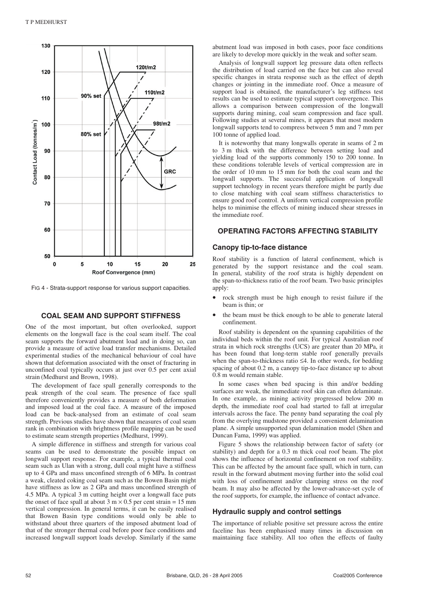

FIG 4 - Strata-support response for various support capacities.

#### **COAL SEAM AND SUPPORT STIFFNESS**

One of the most important, but often overlooked, support elements on the longwall face is the coal seam itself. The coal seam supports the forward abutment load and in doing so, can provide a measure of active load transfer mechanisms. Detailed experimental studies of the mechanical behaviour of coal have shown that deformation associated with the onset of fracturing in unconfined coal typically occurs at just over 0.5 per cent axial strain (Medhurst and Brown, 1998).

The development of face spall generally corresponds to the peak strength of the coal seam. The presence of face spall therefore conveniently provides a measure of both deformation and imposed load at the coal face. A measure of the imposed load can be back-analysed from an estimate of coal seam strength. Previous studies have shown that measures of coal seam rank in combination with brightness profile mapping can be used to estimate seam strength properties (Medhurst, 1999).

A simple difference in stiffness and strength for various coal seams can be used to demonstrate the possible impact on longwall support response. For example, a typical thermal coal seam such as Ulan with a strong, dull coal might have a stiffness up to 4 GPa and mass unconfined strength of 6 MPa. In contrast a weak, cleated coking coal seam such as the Bowen Basin might have stiffness as low as 2 GPa and mass unconfined strength of 4.5 MPa. A typical 3 m cutting height over a longwall face puts the onset of face spall at about  $3 \text{ m} \times 0.5$  per cent strain = 15 mm vertical compression. In general terms, it can be easily realised that Bowen Basin type conditions would only be able to withstand about three quarters of the imposed abutment load of that of the stronger thermal coal before poor face conditions and increased longwall support loads develop. Similarly if the same abutment load was imposed in both cases, poor face conditions are likely to develop more quickly in the weak and softer seam.

Analysis of longwall support leg pressure data often reflects the distribution of load carried on the face but can also reveal specific changes in strata response such as the effect of depth changes or jointing in the immediate roof. Once a measure of support load is obtained, the manufacturer's leg stiffness test results can be used to estimate typical support convergence. This allows a comparison between compression of the longwall supports during mining, coal seam compression and face spall. Following studies at several mines, it appears that most modern longwall supports tend to compress between 5 mm and 7 mm per 100 tonne of applied load.

It is noteworthy that many longwalls operate in seams of 2 m to 3 m thick with the difference between setting load and yielding load of the supports commonly 150 to 200 tonne. In these conditions tolerable levels of vertical compression are in the order of 10 mm to 15 mm for both the coal seam and the longwall supports. The successful application of longwall support technology in recent years therefore might be partly due to close matching with coal seam stiffness characteristics to ensure good roof control. A uniform vertical compression profile helps to minimise the effects of mining induced shear stresses in the immediate roof.

#### **OPERATING FACTORS AFFECTING STABILITY**

#### **Canopy tip-to-face distance**

Roof stability is a function of lateral confinement, which is generated by the support resistance and the coal seam. In general, stability of the roof strata is highly dependent on the span-to-thickness ratio of the roof beam. Two basic principles apply:

- rock strength must be high enough to resist failure if the beam is thin; or
- the beam must be thick enough to be able to generate lateral confinement.

Roof stability is dependent on the spanning capabilities of the individual beds within the roof unit. For typical Australian roof strata in which rock strengths (UCS) are greater than 20 MPa, it has been found that long-term stable roof generally prevails when the span-to-thickness ratio ≤4. In other words, for bedding spacing of about 0.2 m, a canopy tip-to-face distance up to about 0.8 m would remain stable.

In some cases when bed spacing is thin and/or bedding surfaces are weak, the immediate roof skin can often delaminate. In one example, as mining activity progressed below 200 m depth, the immediate roof coal had started to fall at irregular intervals across the face. The penny band separating the coal ply from the overlying mudstone provided a convenient delamination plane. A simple unsupported span delamination model (Shen and Duncan Fama, 1999) was applied.

Figure 5 shows the relationship between factor of safety (or stability) and depth for a 0.3 m thick coal roof beam. The plot shows the influence of horizontal confinement on roof stability. This can be affected by the amount face spall, which in turn, can result in the forward abutment moving further into the solid coal with loss of confinement and/or clamping stress on the roof beam. It may also be affected by the lower-advance-set cycle of the roof supports, for example, the influence of contact advance.

#### **Hydraulic supply and control settings**

The importance of reliable positive set pressure across the entire faceline has been emphasised many times in discussion on maintaining face stability. All too often the effects of faulty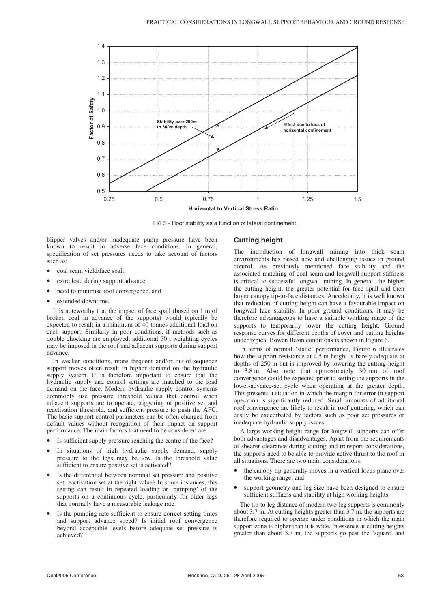

FIG 5 - Roof stability as a function of lateral confinement.

blipper valves and/or inadequate pump pressure have been known to result in adverse face conditions. In general, specification of set pressures needs to take account of factors such as:

- coal seam yield/face spall,
- extra load during support advance,
- need to minimise roof convergence, and
- extended downtime.

It is noteworthy that the impact of face spall (based on 1 m of broken coal in advance of the supports) would typically be expected to result in a minimum of 40 tonnes additional load on each support. Similarly in poor conditions, if methods such as double chocking are employed, additional 50 t weighting cycles may be imposed in the roof and adjacent supports during support advance.

In weaker conditions, more frequent and/or out-of-sequence support moves often result in higher demand on the hydraulic supply system. It is therefore important to ensure that the hydraulic supply and control settings are matched to the load demand on the face. Modern hydraulic supply control systems commonly use pressure threshold values that control when adjacent supports are to operate, triggering of positive set and reactivation threshold, and sufficient pressure to push the AFC. The basic support control parameters can be often changed from default values without recognition of their impact on support performance. The main factors that need to be considered are:

- Is sufficient supply pressure reaching the centre of the face?
- In situations of high hydraulic supply demand, supply pressure to the legs may be low. Is the threshold value sufficient to ensure positive set is activated?
- Is the differential between nominal set pressure and positive set reactivation set at the right value? In some instances, this setting can result in repeated loading or 'pumping' of the supports on a continuous cycle, particularly for older legs that normally have a measurable leakage rate.
- Is the pumping rate sufficient to ensure correct setting times and support advance speed? Is initial roof convergence beyond acceptable levels before adequate set pressure is achieved?

#### **Cutting height**

The introduction of longwall mining into thick seam environments has raised new and challenging issues in ground control. As previously mentioned face stability and the associated matching of coal seam and longwall support stiffness is critical to successful longwall mining. In general, the higher the cutting height, the greater potential for face spall and then larger canopy tip-to-face distances. Anecdotally, it is well known that reduction of cutting height can have a favourable impact on longwall face stability. In poor ground conditions, it may be therefore advantageous to have a suitable working range of the supports to temporarily lower the cutting height. Ground response curves for different depths of cover and cutting heights under typical Bowen Basin conditions is shown in Figure 6.

In terms of normal 'static' performance, Figure 6 illustrates how the support resistance at 4.5 m height is barely adequate at depths of 250 m but is improved by lowering the cutting height to 3.8 m. Also note that approximately 30 mm of roof convergence could be expected prior to setting the supports in the lower-advance-set cycle when operating at the greater depth. This presents a situation in which the margin for error in support operation is significantly reduced. Small amounts of additional roof convergence are likely to result in roof guttering, which can easily be exacerbated by factors such as poor set pressures or inadequate hydraulic supply issues.

A large working height range for longwall supports can offer both advantages and disadvantages. Apart from the requirements of shearer clearance during cutting and transport considerations, the supports need to be able to provide active thrust to the roof in all situations. There are two main considerations:

- the canopy tip generally moves in a vertical locus plane over the working range; and
- support geometry and leg size have been designed to ensure sufficient stiffness and stability at high working heights.

The tip-to-leg distance of modern two-leg supports is commonly about 3.7 m. At cutting heights greater than 3.7 m, the supports are therefore required to operate under conditions in which the main support zone is higher than it is wide. In essence at cutting heights greater than about 3.7 m, the supports go past the 'square' and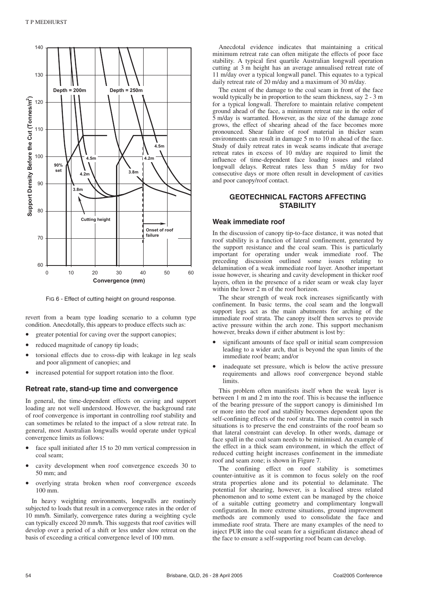

FIG 6 - Effect of cutting height on ground response.

revert from a beam type loading scenario to a column type condition. Anecdotally, this appears to produce effects such as:

- greater potential for caving over the support canopies;
- reduced magnitude of canopy tip loads;
- torsional effects due to cross-dip with leakage in leg seals and poor alignment of canopies; and
- increased potential for support rotation into the floor.

#### **Retreat rate, stand-up time and convergence**

In general, the time-dependent effects on caving and support loading are not well understood. However, the background rate of roof convergence is important in controlling roof stability and can sometimes be related to the impact of a slow retreat rate. In general, most Australian longwalls would operate under typical convergence limits as follows:

- face spall initiated after 15 to 20 mm vertical compression in coal seam;
- cavity development when roof convergence exceeds 30 to 50 mm; and
- overlying strata broken when roof convergence exceeds 100 mm.

In heavy weighting environments, longwalls are routinely subjected to loads that result in a convergence rates in the order of 10 mm/h. Similarly, convergence rates during a weighting cycle can typically exceed 20 mm/h. This suggests that roof cavities will develop over a period of a shift or less under slow retreat on the basis of exceeding a critical convergence level of 100 mm.

Anecdotal evidence indicates that maintaining a critical minimum retreat rate can often mitigate the effects of poor face stability. A typical first quartile Australian longwall operation cutting at 3 m height has an average annualised retreat rate of 11 m/day over a typical longwall panel. This equates to a typical daily retreat rate of 20 m/day and a maximum of 30 m/day.

The extent of the damage to the coal seam in front of the face would typically be in proportion to the seam thickness, say 2 - 3 m for a typical longwall. Therefore to maintain relative competent ground ahead of the face, a minimum retreat rate in the order of 5 m/day is warranted. However, as the size of the damage zone grows, the effect of shearing ahead of the face becomes more pronounced. Shear failure of roof material in thicker seam environments can result in damage 5 m to 10 m ahead of the face. Study of daily retreat rates in weak seams indicate that average retreat rates in excess of 10 m/day are required to limit the influence of time-dependent face loading issues and related longwall delays. Retreat rates less than 5 m/day for two consecutive days or more often result in development of cavities and poor canopy/roof contact.

### **GEOTECHNICAL FACTORS AFFECTING STABILITY**

#### **Weak immediate roof**

In the discussion of canopy tip-to-face distance, it was noted that roof stability is a function of lateral confinement, generated by the support resistance and the coal seam. This is particularly important for operating under weak immediate roof. The preceding discussion outlined some issues relating to delamination of a weak immediate roof layer. Another important issue however, is shearing and cavity development in thicker roof layers, often in the presence of a rider seam or weak clay layer within the lower 2 m of the roof horizon.

The shear strength of weak rock increases significantly with confinement. In basic terms, the coal seam and the longwall support legs act as the main abutments for arching of the immediate roof strata. The canopy itself then serves to provide active pressure within the arch zone. This support mechanism however, breaks down if either abutment is lost by:

- significant amounts of face spall or initial seam compression leading to a wider arch, that is beyond the span limits of the immediate roof beam; and/or
- inadequate set pressure, which is below the active pressure requirements and allows roof convergence beyond stable limits.

This problem often manifests itself when the weak layer is between 1 m and 2 m into the roof. This is because the influence of the bearing pressure of the support canopy is diminished 1m or more into the roof and stability becomes dependent upon the self-confining effects of the roof strata. The main control in such situations is to preserve the end constraints of the roof beam so that lateral constraint can develop. In other words, damage or face spall in the coal seam needs to be minimised. An example of the effect in a thick seam environment, in which the effect of reduced cutting height increases confinement in the immediate roof and seam zone; is shown in Figure 7.

The confining effect on roof stability is sometimes counter-intuitive as it is common to focus solely on the roof strata properties alone and its potential to delaminate. The potential for shearing, however, is a localised stress related phenomenon and to some extent can be managed by the choice of a suitable cutting geometry and complimentary longwall configuration. In more extreme situations, ground improvement methods are commonly used to consolidate the face and immediate roof strata. There are many examples of the need to inject PUR into the coal seam for a significant distance ahead of the face to ensure a self-supporting roof beam can develop.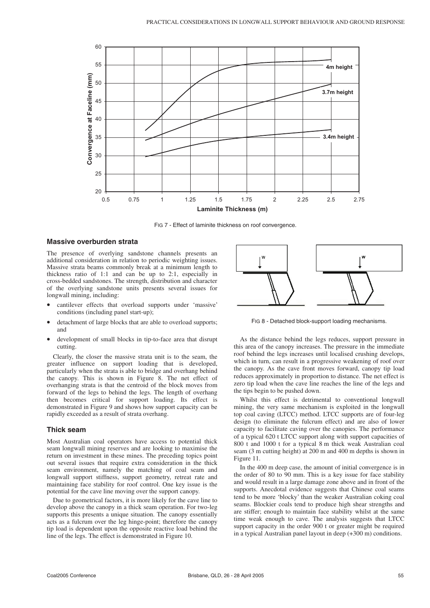

FIG 7 - Effect of laminite thickness on roof convergence.

#### **Massive overburden strata**

The presence of overlying sandstone channels presents an additional consideration in relation to periodic weighting issues. Massive strata beams commonly break at a minimum length to thickness ratio of 1:1 and can be up to 2:1, especially in cross-bedded sandstones. The strength, distribution and character of the overlying sandstone units presents several issues for longwall mining, including:

- cantilever effects that overload supports under 'massive' conditions (including panel start-up);
- detachment of large blocks that are able to overload supports; and
- development of small blocks in tip-to-face area that disrupt cutting.

Clearly, the closer the massive strata unit is to the seam, the greater influence on support loading that is developed, particularly when the strata is able to bridge and overhang behind the canopy. This is shown in Figure 8. The net effect of overhanging strata is that the centroid of the block moves from forward of the legs to behind the legs. The length of overhang then becomes critical for support loading. Its effect is demonstrated in Figure 9 and shows how support capacity can be rapidly exceeded as a result of strata overhang.

#### **Thick seam**

Most Australian coal operators have access to potential thick seam longwall mining reserves and are looking to maximise the return on investment in these mines. The preceding topics point out several issues that require extra consideration in the thick seam environment, namely the matching of coal seam and longwall support stiffness, support geometry, retreat rate and maintaining face stability for roof control. One key issue is the potential for the cave line moving over the support canopy.

Due to geometrical factors, it is more likely for the cave line to develop above the canopy in a thick seam operation. For two-leg supports this presents a unique situation. The canopy essentially acts as a fulcrum over the leg hinge-point; therefore the canopy tip load is dependent upon the opposite reactive load behind the line of the legs. The effect is demonstrated in Figure 10.



FIG 8 - Detached block-support loading mechanisms.

As the distance behind the legs reduces, support pressure in this area of the canopy increases. The pressure in the immediate roof behind the legs increases until localised crushing develops, which in turn, can result in a progressive weakening of roof over the canopy. As the cave front moves forward, canopy tip load reduces approximately in proportion to distance. The net effect is zero tip load when the cave line reaches the line of the legs and the tips begin to be pushed down.

Whilst this effect is detrimental to conventional longwall mining, the very same mechanism is exploited in the longwall top coal caving (LTCC) method. LTCC supports are of four-leg design (to eliminate the fulcrum effect) and are also of lower capacity to facilitate caving over the canopies. The performance of a typical 620 t LTCC support along with support capacities of 800 t and 1000 t for a typical 8 m thick weak Australian coal seam (3 m cutting height) at 200 m and 400 m depths is shown in Figure 11.

In the 400 m deep case, the amount of initial convergence is in the order of 80 to 90 mm. This is a key issue for face stability and would result in a large damage zone above and in front of the supports. Anecdotal evidence suggests that Chinese coal seams tend to be more 'blocky' than the weaker Australian coking coal seams. Blockier coals tend to produce high shear strengths and are stiffer; enough to maintain face stability whilst at the same time weak enough to cave. The analysis suggests that LTCC support capacity in the order 900 t or greater might be required in a typical Australian panel layout in deep (+300 m) conditions.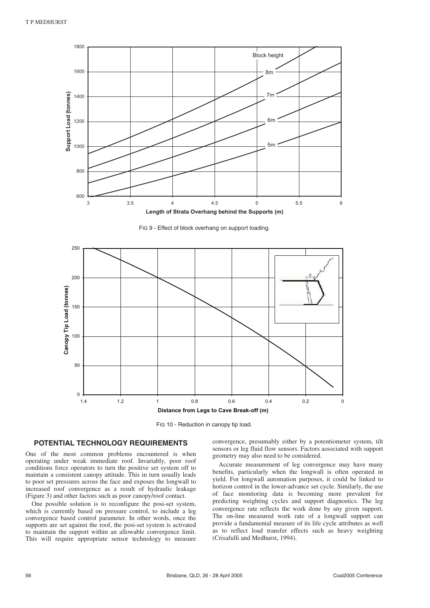

**Length of Strata Overhang behind the Supports (m)**

FIG 9 - Effect of block overhang on support loading.



FIG 10 - Reduction in canopy tip load.

#### **POTENTIAL TECHNOLOGY REQUIREMENTS**

One of the most common problems encountered is when operating under weak immediate roof. Invariably, poor roof conditions force operators to turn the positive set system off to maintain a consistent canopy attitude. This in turn usually leads to poor set pressures across the face and exposes the longwall to increased roof convergence as a result of hydraulic leakage (Figure 3) and other factors such as poor canopy/roof contact.

One possible solution is to reconfigure the posi-set system, which is currently based on pressure control, to include a leg convergence based control parameter. In other words, once the supports are set against the roof, the posi-set system is activated to maintain the support within an allowable convergence limit. This will require appropriate sensor technology to measure convergence, presumably either by a potentiometer system, tilt sensors or leg fluid flow sensors. Factors associated with support geometry may also need to be considered.

Accurate measurement of leg convergence may have many benefits, particularly when the longwall is often operated in yield. For longwall automation purposes, it could be linked to horizon control in the lower-advance set cycle. Similarly, the use of face monitoring data is becoming more prevalent for predicting weighting cycles and support diagnostics. The leg convergence rate reflects the work done by any given support. The on-line measured work rate of a longwall support can provide a fundamental measure of its life cycle attributes as well as to reflect load transfer effects such as heavy weighting (Crisafulli and Medhurst, 1994).